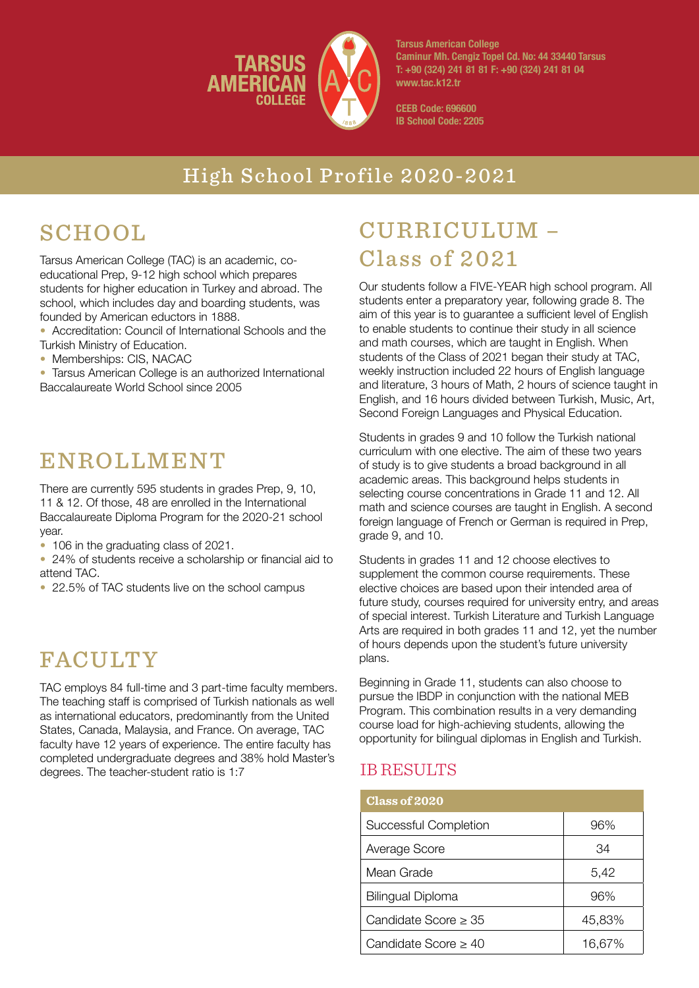

**Tarsus American College Caminur Mh. Cengiz Topel Cd. No: 44 33440 Tarsus T: +90 (324) 241 81 81 F: +90 (324) 241 81 04 www.tac.k12.tr**

**CEEB Code: 696600 IB School Code: 2205**

### High School Profile 2020-2021

# **SCHOOL**

Tarsus American College (TAC) is an academic, coeducational Prep, 9-12 high school which prepares students for higher education in Turkey and abroad. The school, which includes day and boarding students, was founded by American eductors in 1888.

- Accreditation: Council of International Schools and the Turkish Ministry of Education.
- Memberships: CIS, NACAC
- Tarsus American College is an authorized International Baccalaureate World School since 2005

### ENROLLMENT

There are currently 595 students in grades Prep, 9, 10, 11 & 12. Of those, 48 are enrolled in the International Baccalaureate Diploma Program for the 2020-21 school year.

- 106 in the graduating class of 2021.
- 24% of students receive a scholarship or financial aid to attend TAC.
- 22.5% of TAC students live on the school campus

## FACULTY

TAC employs 84 full-time and 3 part-time faculty members. The teaching staff is comprised of Turkish nationals as well as international educators, predominantly from the United States, Canada, Malaysia, and France. On average, TAC faculty have 12 years of experience. The entire faculty has completed undergraduate degrees and 38% hold Master's degrees. The teacher-student ratio is 1:7

# CURRICULUM – Class of 2021

Our students follow a FIVE-YEAR high school program. All students enter a preparatory year, following grade 8. The aim of this year is to guarantee a sufficient level of English to enable students to continue their study in all science and math courses, which are taught in English. When students of the Class of 2021 began their study at TAC, weekly instruction included 22 hours of English language and literature, 3 hours of Math, 2 hours of science taught in English, and 16 hours divided between Turkish, Music, Art, Second Foreign Languages and Physical Education.

Students in grades 9 and 10 follow the Turkish national curriculum with one elective. The aim of these two years of study is to give students a broad background in all academic areas. This background helps students in selecting course concentrations in Grade 11 and 12. All math and science courses are taught in English. A second foreign language of French or German is required in Prep, grade 9, and 10.

Students in grades 11 and 12 choose electives to supplement the common course requirements. These elective choices are based upon their intended area of future study, courses required for university entry, and areas of special interest. Turkish Literature and Turkish Language Arts are required in both grades 11 and 12, yet the number of hours depends upon the student's future university plans.

Beginning in Grade 11, students can also choose to pursue the IBDP in conjunction with the national MEB Program. This combination results in a very demanding course load for high-achieving students, allowing the opportunity for bilingual diplomas in English and Turkish.

### IB RESULTS

| <b>Class of 2020</b>         |        |
|------------------------------|--------|
| <b>Successful Completion</b> | 96%    |
| Average Score                | 34     |
| Mean Grade                   | 5,42   |
| <b>Bilingual Diploma</b>     | 96%    |
| Candidate Score > 35         | 45,83% |
| Candidate Score $>$ 40       | 16,67% |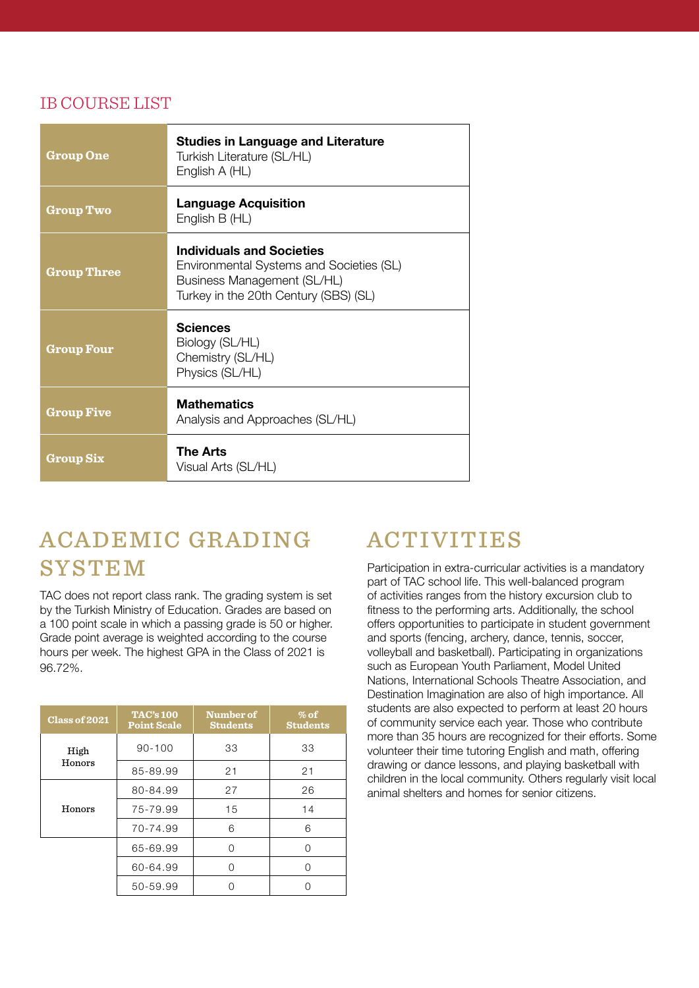### IB COURSE LIST

| <b>Group One</b>   | <b>Studies in Language and Literature</b><br>Turkish Literature (SL/HL)<br>English A (HL)                                                            |  |
|--------------------|------------------------------------------------------------------------------------------------------------------------------------------------------|--|
| <b>Group Two</b>   | <b>Language Acquisition</b><br>English B (HL)                                                                                                        |  |
| <b>Group Three</b> | <b>Individuals and Societies</b><br>Environmental Systems and Societies (SL)<br>Business Management (SL/HL)<br>Turkey in the 20th Century (SBS) (SL) |  |
| <b>Group Four</b>  | <b>Sciences</b><br>Biology (SL/HL)<br>Chemistry (SL/HL)<br>Physics (SL/HL)                                                                           |  |
| <b>Group Five</b>  | <b>Mathematics</b><br>Analysis and Approaches (SL/HL)                                                                                                |  |
| <b>Group Six</b>   | <b>The Arts</b><br>Visual Arts (SL/HL)                                                                                                               |  |

## ACADEMIC GRADING SYSTEM

TAC does not report class rank. The grading system is set by the Turkish Ministry of Education. Grades are based on a 100 point scale in which a passing grade is 50 or higher. Grade point average is weighted according to the course hours per week. The highest GPA in the Class of 2021 is 96.72%.

| Class of 2021  | <b>TAC's 100</b><br><b>Point Scale</b> | Number of<br><b>Students</b> | $%$ of<br><b>Students</b> |
|----------------|----------------------------------------|------------------------------|---------------------------|
| High<br>Honors | $90 - 100$                             | 33                           | 33                        |
|                | 85-89.99                               | 21                           | 21                        |
| Honors         | 80-84.99                               | 27                           | 26                        |
|                | 75-79.99                               | 15                           | 14                        |
|                | 70-74.99                               | 6                            | 6                         |
|                | 65-69.99                               | ∩                            | Ω                         |
|                | 60-64.99                               |                              | $\left( \right)$          |
|                | 50-59.99                               |                              |                           |

## ACTIVITIES

Participation in extra-curricular activities is a mandatory part of TAC school life. This well-balanced program of activities ranges from the history excursion club to fitness to the performing arts. Additionally, the school offers opportunities to participate in student government and sports (fencing, archery, dance, tennis, soccer, volleyball and basketball). Participating in organizations such as European Youth Parliament, Model United Nations, International Schools Theatre Association, and Destination Imagination are also of high importance. All students are also expected to perform at least 20 hours of community service each year. Those who contribute more than 35 hours are recognized for their efforts. Some volunteer their time tutoring English and math, offering drawing or dance lessons, and playing basketball with children in the local community. Others regularly visit local animal shelters and homes for senior citizens.